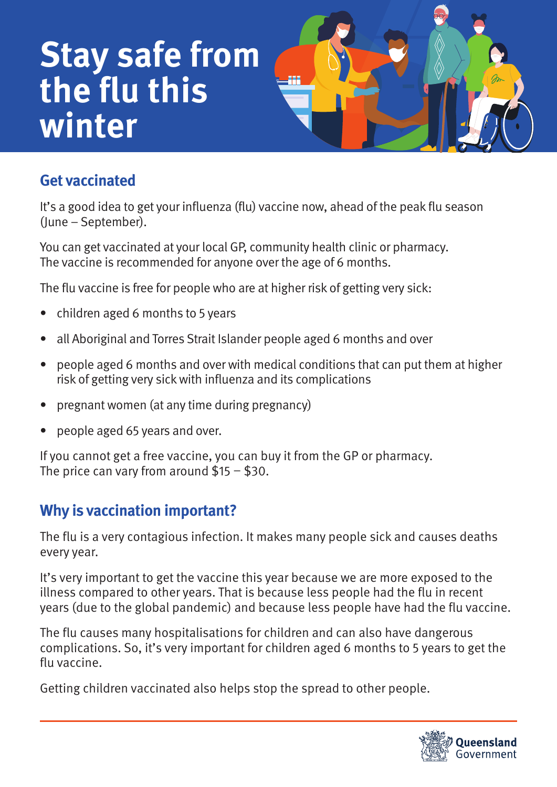# **Stay safe from the flu this winter**



## **Get vaccinated**

It's a good idea to get your influenza (flu) vaccine now, ahead of the peak flu season (June – September).

You can get vaccinated at your local GP, community health clinic or pharmacy. The vaccine is recommended for anyone over the age of 6 months.

The flu vaccine is free for people who are at higher risk of getting very sick:

- children aged 6 months to 5 years
- all Aboriginal and Torres Strait Islander people aged 6 months and over
- people aged 6 months and over with medical conditions that can put them at higher risk of getting very sick with influenza and its complications
- pregnant women (at any time during pregnancy)
- people aged 65 years and over.

If you cannot get a free vaccine, you can buy it from the GP or pharmacy. The price can vary from around  $$15 - $30$ .

## **Why is vaccination important?**

The flu is a very contagious infection. It makes many people sick and causes deaths every year.

It's very important to get the vaccine this year because we are more exposed to the illness compared to other years. That is because less people had the flu in recent years (due to the global pandemic) and because less people have had the flu vaccine.

The flu causes many hospitalisations for children and can also have dangerous complications. So, it's very important for children aged 6 months to 5 years to get the flu vaccine.

Getting children vaccinated also helps stop the spread to other people.